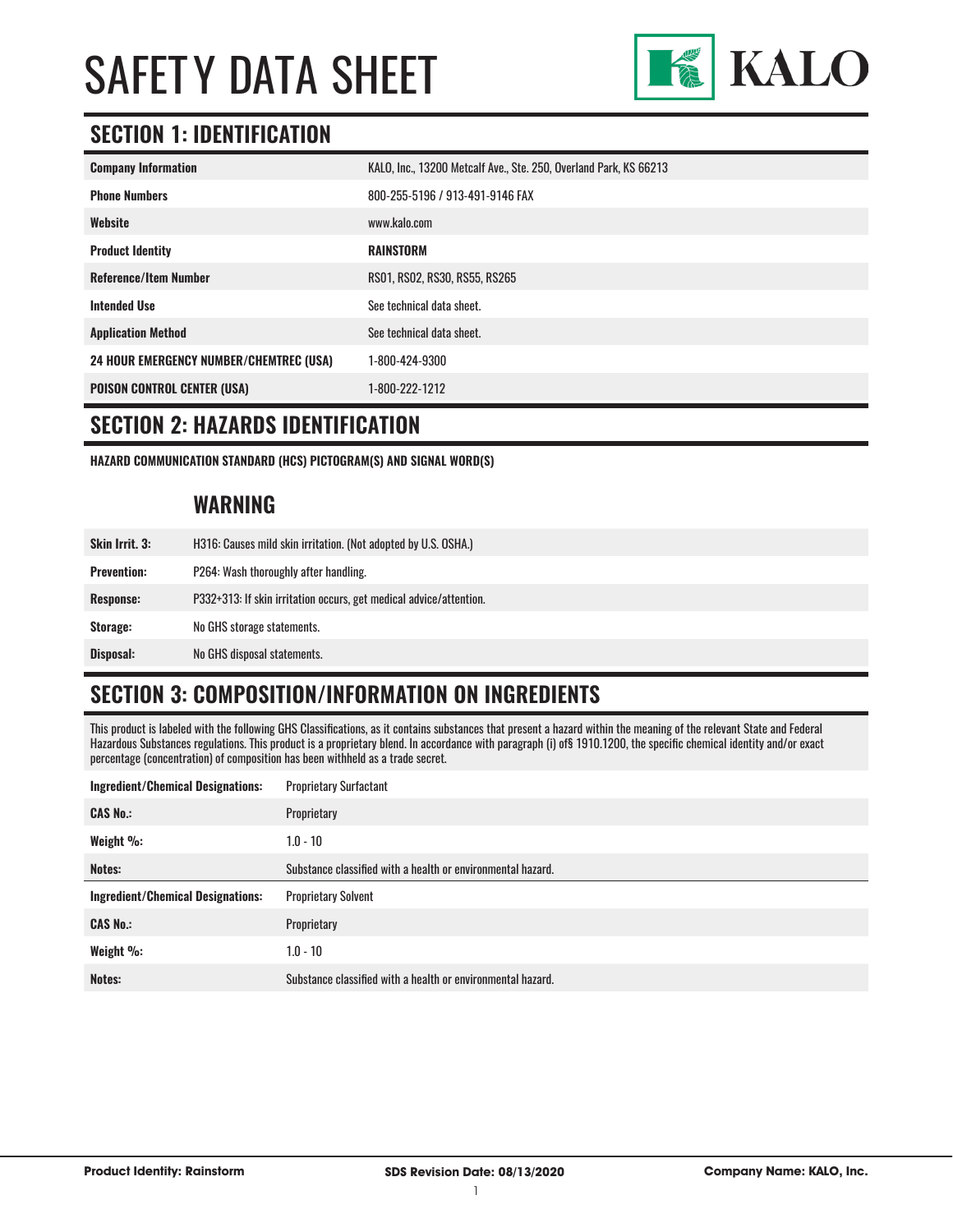

### **SECTION 1: IDENTIFICATION**

| <b>Company Information</b>                     | KALO, Inc., 13200 Metcalf Ave., Ste. 250, Overland Park, KS 66213 |
|------------------------------------------------|-------------------------------------------------------------------|
| <b>Phone Numbers</b>                           | 800-255-5196 / 913-491-9146 FAX                                   |
| Website                                        | www.kalo.com                                                      |
| <b>Product Identity</b>                        | <b>RAINSTORM</b>                                                  |
| <b>Reference/Item Number</b>                   | RS01, RS02, RS30, RS55, RS265                                     |
| <b>Intended Use</b>                            | See technical data sheet.                                         |
| <b>Application Method</b>                      | See technical data sheet.                                         |
| <b>24 HOUR EMERGENCY NUMBER/CHEMTREC (USA)</b> | 1-800-424-9300                                                    |
| <b>POISON CONTROL CENTER (USA)</b>             | 1-800-222-1212                                                    |

#### **SECTION 2: HAZARDS IDENTIFICATION**

**HAZARD COMMUNICATION STANDARD (HCS) PICTOGRAM(S) AND SIGNAL WORD(S)**

#### **WARNING**

| <b>Skin Irrit. 3:</b> | H316: Causes mild skin irritation. (Not adopted by U.S. OSHA.)     |
|-----------------------|--------------------------------------------------------------------|
| <b>Prevention:</b>    | P264: Wash thoroughly after handling.                              |
| Response:             | P332+313: If skin irritation occurs, get medical advice/attention. |
| Storage:              | No GHS storage statements.                                         |
| Disposal:             | No GHS disposal statements.                                        |

# **SECTION 3: COMPOSITION/INFORMATION ON INGREDIENTS**

This product is labeled with the following GHS Classifications, as it contains substances that present a hazard within the meaning of the relevant State and Federal Hazardous Substances regulations. This product is a proprietary blend. In accordance with paragraph (i) of§ 1910.1200, the specific chemical identity and/or exact percentage (concentration) of composition has been withheld as a trade secret.

| <b>Ingredient/Chemical Designations:</b> | <b>Proprietary Surfactant</b>                               |
|------------------------------------------|-------------------------------------------------------------|
| <b>CAS No.:</b>                          | Proprietary                                                 |
| Weight %:                                | $1.0 - 10$                                                  |
| Notes:                                   | Substance classified with a health or environmental hazard. |
|                                          |                                                             |
| <b>Ingredient/Chemical Designations:</b> | <b>Proprietary Solvent</b>                                  |
| <b>CAS No.:</b>                          | Proprietary                                                 |
| Weight %:                                | $1.0 - 10$                                                  |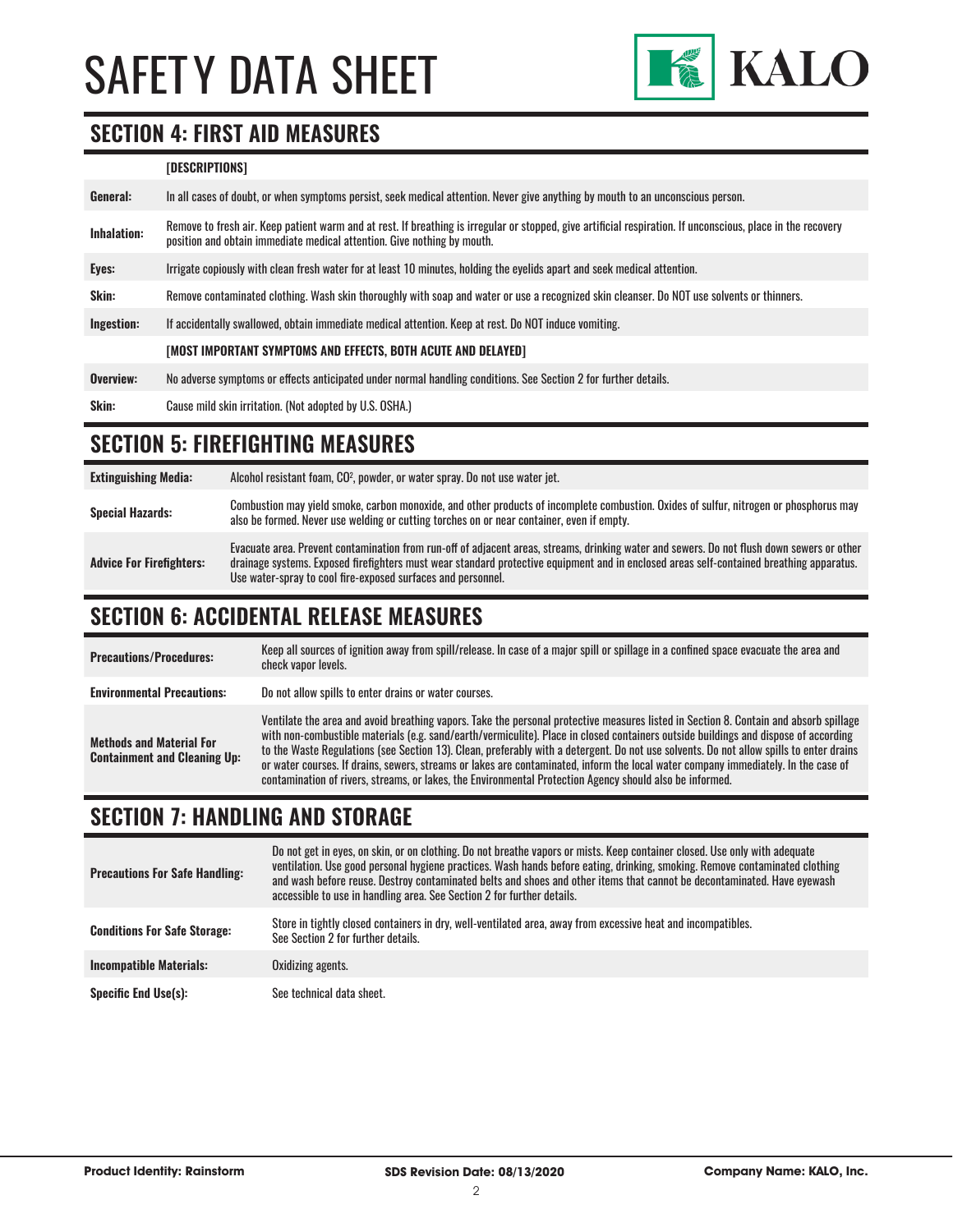

#### **SECTION 4: FIRST AID MEASURES**

#### **[DESCRIPTIONS]**

| General:           | In all cases of doubt, or when symptoms persist, seek medical attention. Never give anything by mouth to an unconscious person.                                                                                                         |
|--------------------|-----------------------------------------------------------------------------------------------------------------------------------------------------------------------------------------------------------------------------------------|
| <b>Inhalation:</b> | Remove to fresh air. Keep patient warm and at rest. If breathing is irregular or stopped, give artificial respiration. If unconscious, place in the recovery<br>position and obtain immediate medical attention. Give nothing by mouth. |
| Eyes:              | Irrigate copiously with clean fresh water for at least 10 minutes, holding the eyelids apart and seek medical attention.                                                                                                                |
| Skin:              | Remove contaminated clothing. Wash skin thoroughly with soap and water or use a recognized skin cleanser. Do NOT use solvents or thinners.                                                                                              |
| Ingestion:         | If accidentally swallowed, obtain immediate medical attention. Keep at rest, Do NOT induce vomiting.                                                                                                                                    |
|                    | [MOST IMPORTANT SYMPTOMS AND EFFECTS, BOTH ACUTE AND DELAYED]                                                                                                                                                                           |
| Overview:          | No adverse symptoms or effects anticipated under normal handling conditions. See Section 2 for further details.                                                                                                                         |
| <b>Skin:</b>       | Cause mild skin irritation. (Not adopted by U.S. OSHA.)                                                                                                                                                                                 |

### **SECTION 5: FIREFIGHTING MEASURES**

| <b>Extinguishing Media:</b>     | Alcohol resistant foam, CO <sup>2</sup> , powder, or water spray. Do not use water jet.                                                                                                                                                                                                                                                                |
|---------------------------------|--------------------------------------------------------------------------------------------------------------------------------------------------------------------------------------------------------------------------------------------------------------------------------------------------------------------------------------------------------|
| <b>Special Hazards:</b>         | Combustion may yield smoke, carbon monoxide, and other products of incomplete combustion. Oxides of sulfur, nitrogen or phosphorus may<br>also be formed. Never use welding or cutting torches on or near container, even if empty.                                                                                                                    |
| <b>Advice For Firefighters:</b> | Evacuate area. Prevent contamination from run-off of adjacent areas, streams, drinking water and sewers. Do not flush down sewers or other<br>drainage systems. Exposed firefighters must wear standard protective equipment and in enclosed areas self-contained breathing apparatus.<br>Use water-spray to cool fire-exposed surfaces and personnel. |

## **SECTION 6: ACCIDENTAL RELEASE MEASURES**

| <b>Precautions/Procedures:</b>                                         | Keep all sources of ignition away from spill/release. In case of a major spill or spillage in a confined space evacuate the area and<br>check vapor levels.                                                                                                                                                                                                                                                                                                                                                                                                                                                                                                               |
|------------------------------------------------------------------------|---------------------------------------------------------------------------------------------------------------------------------------------------------------------------------------------------------------------------------------------------------------------------------------------------------------------------------------------------------------------------------------------------------------------------------------------------------------------------------------------------------------------------------------------------------------------------------------------------------------------------------------------------------------------------|
| <b>Environmental Precautions:</b>                                      | Do not allow spills to enter drains or water courses.                                                                                                                                                                                                                                                                                                                                                                                                                                                                                                                                                                                                                     |
| <b>Methods and Material For</b><br><b>Containment and Cleaning Up:</b> | Ventilate the area and avoid breathing vapors. Take the personal protective measures listed in Section 8. Contain and absorb spillage<br>with non-combustible materials (e.g. sand/earth/vermiculite). Place in closed containers outside buildings and dispose of according<br>to the Waste Regulations (see Section 13). Clean, preferably with a detergent. Do not use solvents. Do not allow spills to enter drains<br>or water courses. If drains, sewers, streams or lakes are contaminated, inform the local water company immediately. In the case of<br>contamination of rivers, streams, or lakes, the Environmental Protection Agency should also be informed. |

### **SECTION 7: HANDLING AND STORAGE**

| <b>Precautions For Safe Handling:</b> | Do not get in eyes, on skin, or on clothing. Do not breathe vapors or mists. Keep container closed. Use only with adequate<br>ventilation. Use good personal hygiene practices. Wash hands before eating, drinking, smoking. Remove contaminated clothing<br>and wash before reuse. Destrov contaminated belts and shoes and other items that cannot be decontaminated. Have evewash<br>accessible to use in handling area. See Section 2 for further details. |
|---------------------------------------|----------------------------------------------------------------------------------------------------------------------------------------------------------------------------------------------------------------------------------------------------------------------------------------------------------------------------------------------------------------------------------------------------------------------------------------------------------------|
| <b>Conditions For Safe Storage:</b>   | Store in tightly closed containers in dry, well-ventilated area, away from excessive heat and incompatibles.<br>See Section 2 for further details.                                                                                                                                                                                                                                                                                                             |
| <b>Incompatible Materials:</b>        | Oxidizing agents.                                                                                                                                                                                                                                                                                                                                                                                                                                              |
| <b>Specific End Use(s):</b>           | See technical data sheet.                                                                                                                                                                                                                                                                                                                                                                                                                                      |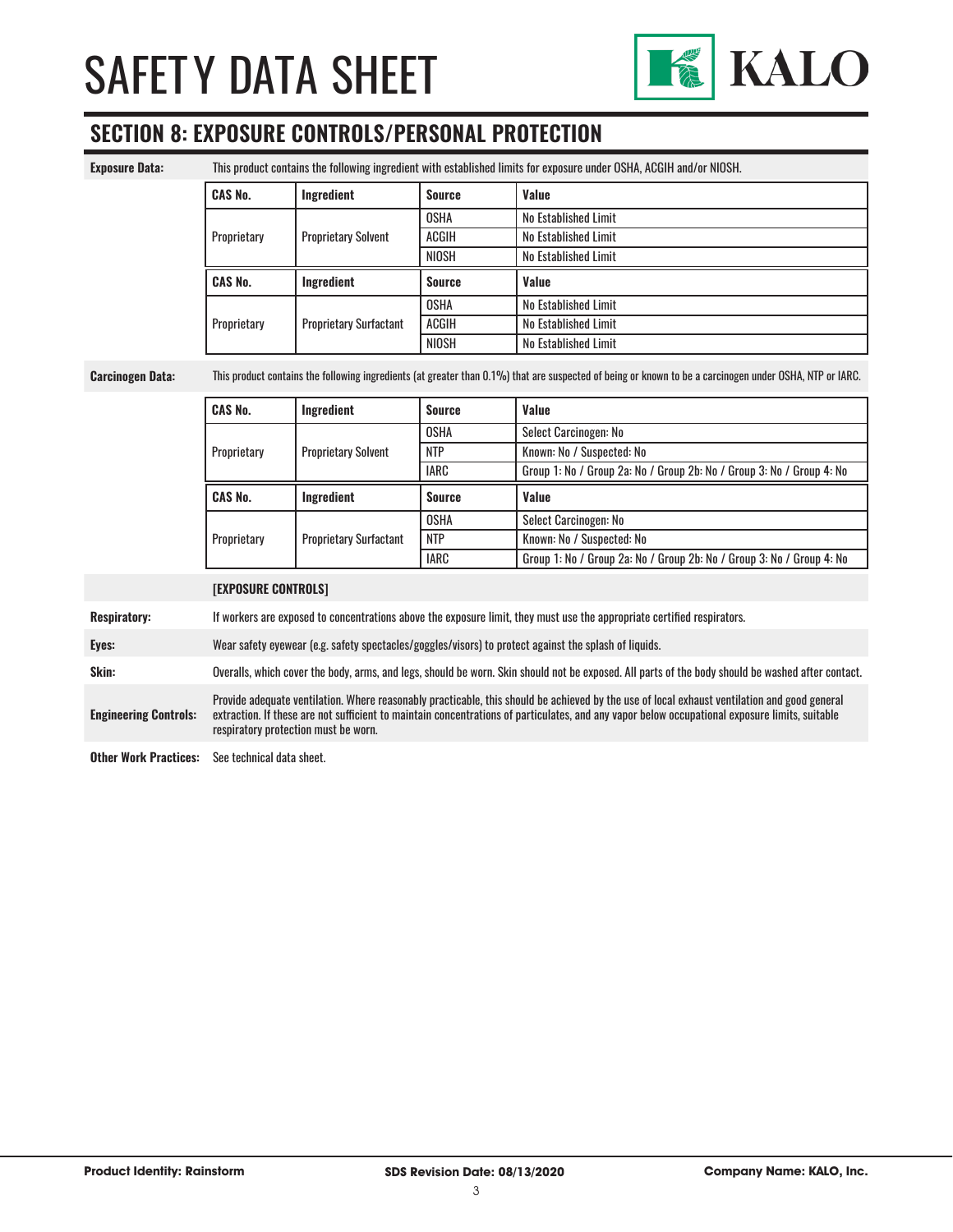

# **SECTION 8: EXPOSURE CONTROLS/PERSONAL PROTECTION**

| <b>Exposure Data:</b>        | This product contains the following ingredient with established limits for exposure under OSHA, ACGIH and/or NIOSH.                                                                                                                                                                                                                    |                               |               |                                                                       |
|------------------------------|----------------------------------------------------------------------------------------------------------------------------------------------------------------------------------------------------------------------------------------------------------------------------------------------------------------------------------------|-------------------------------|---------------|-----------------------------------------------------------------------|
|                              | <b>CAS No.</b>                                                                                                                                                                                                                                                                                                                         | Ingredient                    | <b>Source</b> | Value                                                                 |
|                              |                                                                                                                                                                                                                                                                                                                                        | <b>Proprietary Solvent</b>    | <b>OSHA</b>   | No Established Limit                                                  |
|                              | Proprietary                                                                                                                                                                                                                                                                                                                            |                               | ACGIH         | No Established Limit                                                  |
|                              |                                                                                                                                                                                                                                                                                                                                        |                               | <b>NIOSH</b>  | No Established Limit                                                  |
|                              | <b>CAS No.</b>                                                                                                                                                                                                                                                                                                                         | Ingredient                    | <b>Source</b> | Value                                                                 |
|                              |                                                                                                                                                                                                                                                                                                                                        |                               | <b>OSHA</b>   | No Established Limit                                                  |
|                              | Proprietary                                                                                                                                                                                                                                                                                                                            | <b>Proprietary Surfactant</b> | <b>ACGIH</b>  | <b>No Established Limit</b>                                           |
|                              |                                                                                                                                                                                                                                                                                                                                        |                               | <b>NIOSH</b>  | No Established Limit                                                  |
| <b>Carcinogen Data:</b>      | This product contains the following ingredients (at greater than 0.1%) that are suspected of being or known to be a carcinogen under OSHA, NTP or IARC.                                                                                                                                                                                |                               |               |                                                                       |
|                              | <b>CAS No.</b>                                                                                                                                                                                                                                                                                                                         | Ingredient                    | <b>Source</b> | Value                                                                 |
|                              |                                                                                                                                                                                                                                                                                                                                        | <b>Proprietary Solvent</b>    | <b>OSHA</b>   | Select Carcinogen: No                                                 |
|                              | Proprietary                                                                                                                                                                                                                                                                                                                            |                               | <b>NTP</b>    | Known: No / Suspected: No                                             |
|                              |                                                                                                                                                                                                                                                                                                                                        |                               | <b>IARC</b>   | Group 1: No / Group 2a: No / Group 2b: No / Group 3: No / Group 4: No |
|                              | <b>CAS No.</b>                                                                                                                                                                                                                                                                                                                         | Ingredient                    | <b>Source</b> | Value                                                                 |
|                              |                                                                                                                                                                                                                                                                                                                                        | <b>Proprietary Surfactant</b> | <b>OSHA</b>   | Select Carcinogen: No                                                 |
|                              | Proprietary                                                                                                                                                                                                                                                                                                                            |                               | <b>NTP</b>    | Known: No / Suspected: No                                             |
|                              |                                                                                                                                                                                                                                                                                                                                        |                               | <b>IARC</b>   | Group 1: No / Group 2a: No / Group 2b: No / Group 3: No / Group 4: No |
|                              | <b>[EXPOSURE CONTROLS]</b>                                                                                                                                                                                                                                                                                                             |                               |               |                                                                       |
| <b>Respiratory:</b>          | If workers are exposed to concentrations above the exposure limit, they must use the appropriate certified respirators.                                                                                                                                                                                                                |                               |               |                                                                       |
| Eyes:                        | Wear safety eyewear (e.g. safety spectacles/goggles/visors) to protect against the splash of liquids.                                                                                                                                                                                                                                  |                               |               |                                                                       |
| Skin:                        | Overalls, which cover the body, arms, and legs, should be worn. Skin should not be exposed. All parts of the body should be washed after contact.                                                                                                                                                                                      |                               |               |                                                                       |
| <b>Engineering Controls:</b> | Provide adequate ventilation. Where reasonably practicable, this should be achieved by the use of local exhaust ventilation and good general<br>extraction. If these are not sufficient to maintain concentrations of particulates, and any vapor below occupational exposure limits, suitable<br>respiratory protection must be worn. |                               |               |                                                                       |
| <b>Other Work Practices:</b> | See technical data sheet.                                                                                                                                                                                                                                                                                                              |                               |               |                                                                       |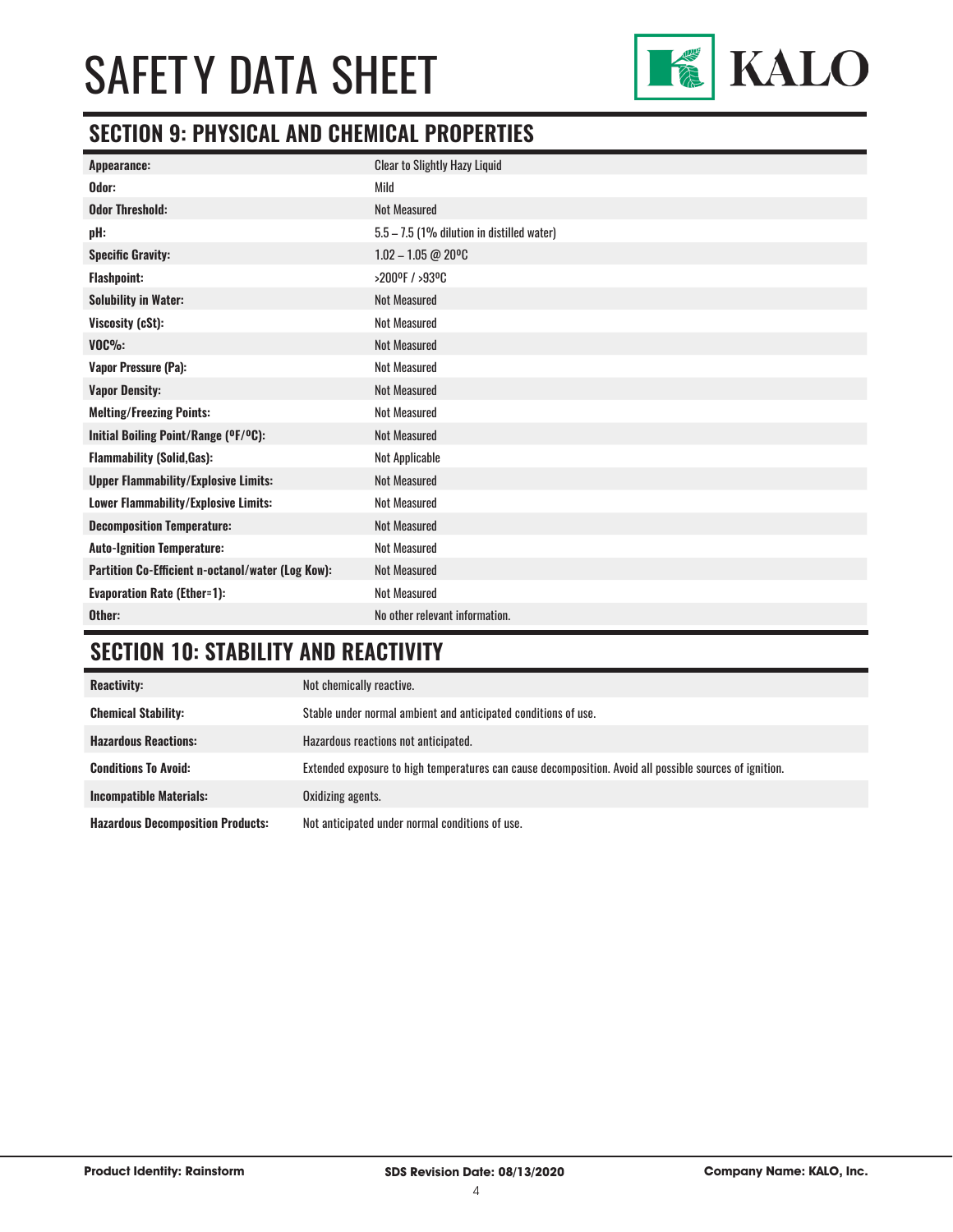

# **SECTION 9: PHYSICAL AND CHEMICAL PROPERTIES**

| Appearance:                                       | <b>Clear to Slightly Hazy Liquid</b>       |
|---------------------------------------------------|--------------------------------------------|
| Odor:                                             | Mild                                       |
| <b>Odor Threshold:</b>                            | <b>Not Measured</b>                        |
| pH:                                               | 5.5 - 7.5 (1% dilution in distilled water) |
| <b>Specific Gravity:</b>                          | $1.02 - 1.05 @ 20^{\circ}C$                |
| <b>Flashpoint:</b>                                | >200ºF / >93ºC                             |
| <b>Solubility in Water:</b>                       | <b>Not Measured</b>                        |
| Viscosity (cSt):                                  | <b>Not Measured</b>                        |
| $VOC\%$ :                                         | <b>Not Measured</b>                        |
| <b>Vapor Pressure (Pa):</b>                       | <b>Not Measured</b>                        |
| <b>Vapor Density:</b>                             | <b>Not Measured</b>                        |
| <b>Melting/Freezing Points:</b>                   | <b>Not Measured</b>                        |
| Initial Boiling Point/Range (OF/OC):              | <b>Not Measured</b>                        |
| <b>Flammability (Solid, Gas):</b>                 | Not Applicable                             |
| <b>Upper Flammability/Explosive Limits:</b>       | <b>Not Measured</b>                        |
| Lower Flammability/Explosive Limits:              | <b>Not Measured</b>                        |
| <b>Decomposition Temperature:</b>                 | <b>Not Measured</b>                        |
| <b>Auto-Ignition Temperature:</b>                 | <b>Not Measured</b>                        |
| Partition Co-Efficient n-octanol/water (Log Kow): | <b>Not Measured</b>                        |
| <b>Evaporation Rate (Ether=1):</b>                | <b>Not Measured</b>                        |
| Other:                                            | No other relevant information.             |

# **SECTION 10: STABILITY AND REACTIVITY**

| <b>Reactivity:</b>                       | Not chemically reactive.                                                                                |
|------------------------------------------|---------------------------------------------------------------------------------------------------------|
| <b>Chemical Stability:</b>               | Stable under normal ambient and anticipated conditions of use.                                          |
| <b>Hazardous Reactions:</b>              | Hazardous reactions not anticipated.                                                                    |
| <b>Conditions To Avoid:</b>              | Extended exposure to high temperatures can cause decomposition. Avoid all possible sources of ignition. |
| <b>Incompatible Materials:</b>           | Oxidizing agents.                                                                                       |
| <b>Hazardous Decomposition Products:</b> | Not anticipated under normal conditions of use.                                                         |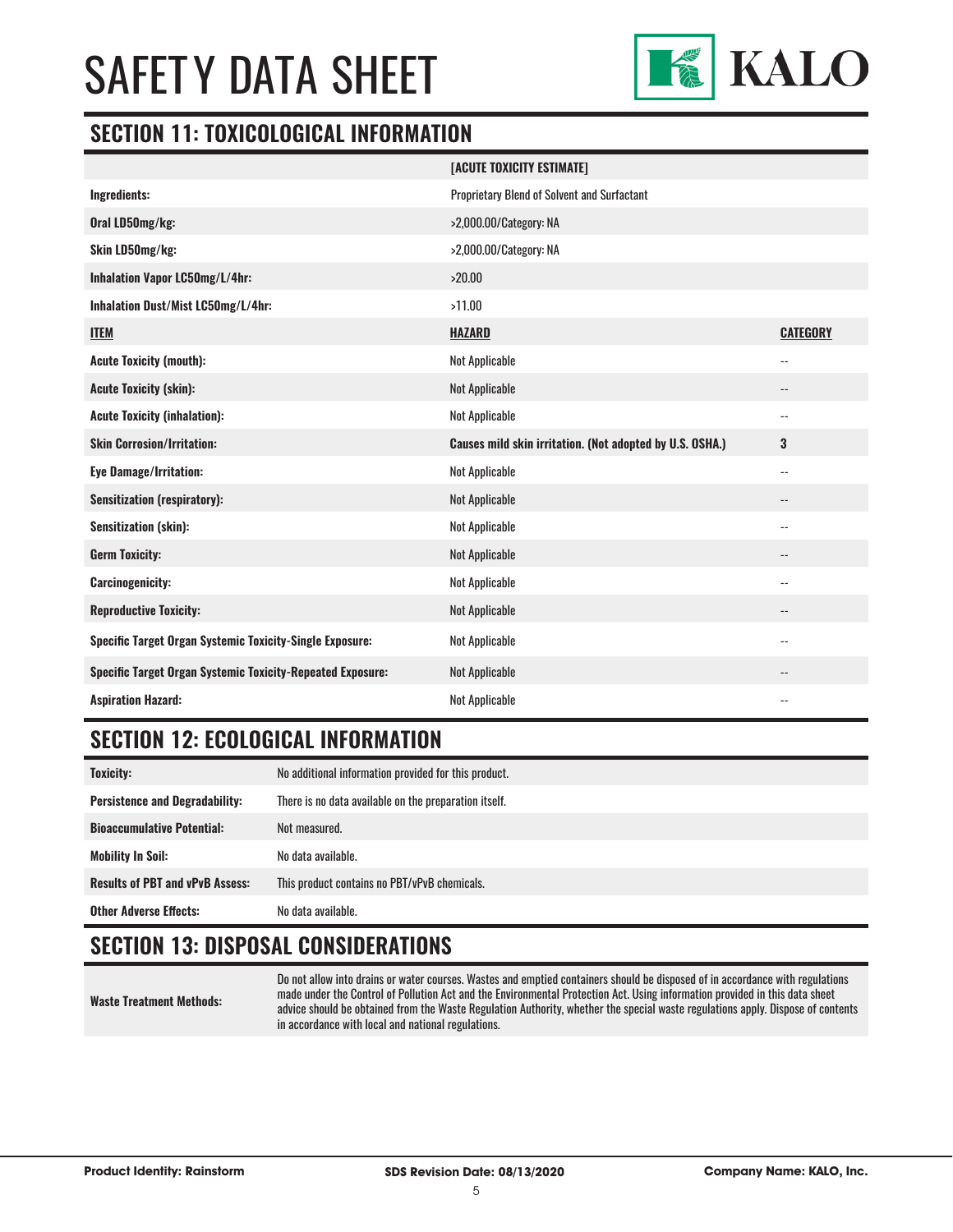

#### **SECTION 11: TOXICOLOGICAL INFORMATION**

|                                                                   | [ACUTE TOXICITY ESTIMATE]                                |                            |
|-------------------------------------------------------------------|----------------------------------------------------------|----------------------------|
| Ingredients:                                                      | Proprietary Blend of Solvent and Surfactant              |                            |
| Oral LD50mg/kg:                                                   | >2,000.00/Category: NA                                   |                            |
| Skin LD50mg/kg:                                                   | >2,000.00/Category: NA                                   |                            |
| Inhalation Vapor LC50mg/L/4hr:                                    | >20.00                                                   |                            |
| Inhalation Dust/Mist LC50mg/L/4hr:                                | >11.00                                                   |                            |
| <b>ITEM</b>                                                       | <b>HAZARD</b>                                            | <b>CATEGORY</b>            |
| <b>Acute Toxicity (mouth):</b>                                    | Not Applicable                                           | $\overline{\phantom{a}}$ . |
| <b>Acute Toxicity (skin):</b>                                     | Not Applicable                                           | $\overline{\phantom{a}}$   |
| <b>Acute Toxicity (inhalation):</b>                               | Not Applicable                                           | $\overline{\phantom{a}}$   |
| <b>Skin Corrosion/Irritation:</b>                                 | Causes mild skin irritation. (Not adopted by U.S. OSHA.) | 3                          |
| <b>Eye Damage/Irritation:</b>                                     | Not Applicable                                           | $\overline{\phantom{a}}$   |
| <b>Sensitization (respiratory):</b>                               | Not Applicable                                           | $\overline{\phantom{a}}$   |
| <b>Sensitization (skin):</b>                                      | Not Applicable                                           | $\overline{\phantom{a}}$   |
| <b>Germ Toxicity:</b>                                             | Not Applicable                                           | $\qquad \qquad -$          |
| <b>Carcinogenicity:</b>                                           | Not Applicable                                           | $-$                        |
| <b>Reproductive Toxicity:</b>                                     | Not Applicable                                           | $\overline{\phantom{a}}$   |
| Specific Target Organ Systemic Toxicity-Single Exposure:          | Not Applicable                                           | $-$                        |
| <b>Specific Target Organ Systemic Toxicity-Repeated Exposure:</b> | Not Applicable                                           |                            |
| <b>Aspiration Hazard:</b>                                         | Not Applicable                                           | $\overline{a}$             |

## **SECTION 12: ECOLOGICAL INFORMATION**

| <b>Toxicity:</b>                       | No additional information provided for this product.  |
|----------------------------------------|-------------------------------------------------------|
| <b>Persistence and Degradability:</b>  | There is no data available on the preparation itself. |
| <b>Bioaccumulative Potential:</b>      | Not measured.                                         |
| <b>Mobility In Soil:</b>               | No data available.                                    |
| <b>Results of PBT and vPvB Assess:</b> | This product contains no PBT/vPvB chemicals.          |
| <b>Other Adverse Effects:</b>          | No data available.                                    |

### **SECTION 13: DISPOSAL CONSIDERATIONS**

**Waste Treatment Methods:**

Do not allow into drains or water courses. Wastes and emptied containers should be disposed of in accordance with regulations made under the Control of Pollution Act and the Environmental Protection Act. Using information provided in this data sheet advice should be obtained from the Waste Regulation Authority, whether the special waste regulations apply. Dispose of contents in accordance with local and national regulations.